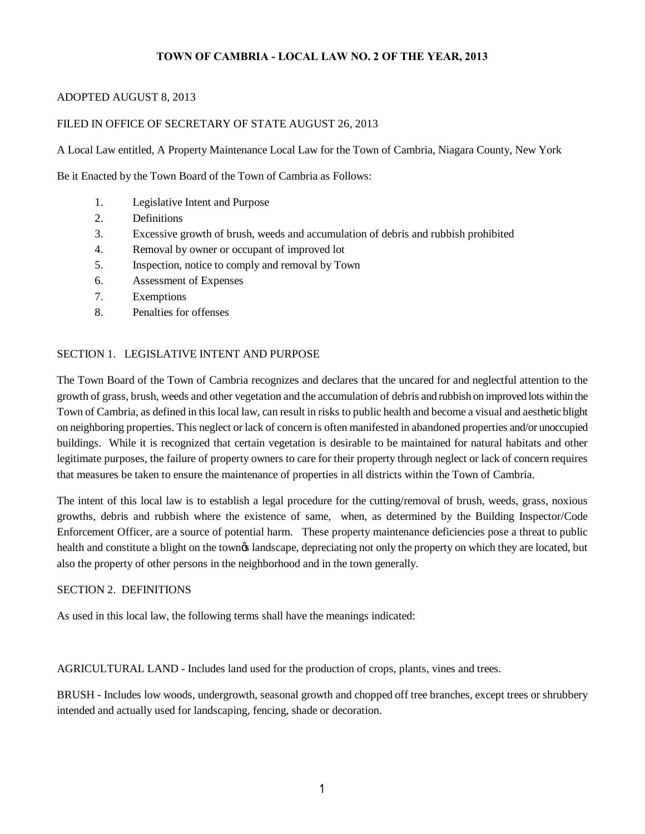## **TOWN OF CAMBRIA - LOCAL LAW NO. 2 OF THE YEAR, 2013**

#### ADOPTED AUGUST 8, 2013

## FILED IN OFFICE OF SECRETARY OF STATE AUGUST 26, 2013

A Local Law entitled, A Property Maintenance Local Law for the Town of Cambria, Niagara County, New York

Be it Enacted by the Town Board of the Town of Cambria as Follows:

- 1. Legislative Intent and Purpose
- 2. Definitions
- 3. Excessive growth of brush, weeds and accumulation of debris and rubbish prohibited
- 4. Removal by owner or occupant of improved lot
- 5. Inspection, notice to comply and removal by Town
- 6. Assessment of Expenses
- 7. Exemptions
- 8. Penalties for offenses

## SECTION 1. LEGISLATIVE INTENT AND PURPOSE

The Town Board of the Town of Cambria recognizes and declares that the uncared for and neglectful attention to the growth of grass, brush, weeds and other vegetation and the accumulation of debris and rubbish on improved lots within the Town of Cambria, as defined in this local law, can result in risks to public health and become a visual and aesthetic blight on neighboring properties. This neglect or lack of concern is often manifested in abandoned properties and/or unoccupied buildings. While it is recognized that certain vegetation is desirable to be maintained for natural habitats and other legitimate purposes, the failure of property owners to care for their property through neglect or lack of concern requires that measures be taken to ensure the maintenance of properties in all districts within the Town of Cambria.

The intent of this local law is to establish a legal procedure for the cutting/removal of brush, weeds, grass, noxious growths, debris and rubbish where the existence of same, when, as determined by the Building Inspector/Code Enforcement Officer, are a source of potential harm. These property maintenance deficiencies pose a threat to public health and constitute a blight on the townes landscape, depreciating not only the property on which they are located, but also the property of other persons in the neighborhood and in the town generally.

#### SECTION 2. DEFINITIONS

As used in this local law, the following terms shall have the meanings indicated:

AGRICULTURAL LAND - Includes land used for the production of crops, plants, vines and trees.

BRUSH - Includes low woods, undergrowth, seasonal growth and chopped off tree branches, except trees or shrubbery intended and actually used for landscaping, fencing, shade or decoration.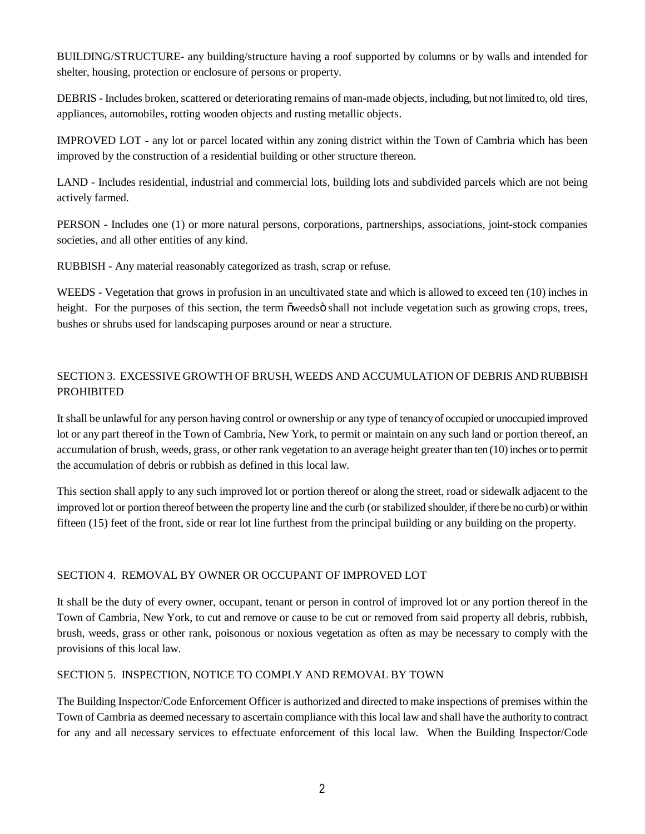BUILDING/STRUCTURE- any building/structure having a roof supported by columns or by walls and intended for shelter, housing, protection or enclosure of persons or property.

DEBRIS - Includes broken, scattered or deteriorating remains of man-made objects, including, but not limited to, old tires, appliances, automobiles, rotting wooden objects and rusting metallic objects.

IMPROVED LOT - any lot or parcel located within any zoning district within the Town of Cambria which has been improved by the construction of a residential building or other structure thereon.

LAND - Includes residential, industrial and commercial lots, building lots and subdivided parcels which are not being actively farmed.

PERSON - Includes one (1) or more natural persons, corporations, partnerships, associations, joint-stock companies societies, and all other entities of any kind.

RUBBISH - Any material reasonably categorized as trash, scrap or refuse.

WEEDS - Vegetation that grows in profusion in an uncultivated state and which is allowed to exceed ten (10) inches in height. For the purposes of this section, the term  $\tilde{o}$  weeds  $\tilde{o}$  shall not include vegetation such as growing crops, trees, bushes or shrubs used for landscaping purposes around or near a structure.

# SECTION 3. EXCESSIVE GROWTH OF BRUSH, WEEDS AND ACCUMULATION OF DEBRIS AND RUBBISH PROHIBITED

It shall be unlawful for any person having control or ownership or any type of tenancy of occupied or unoccupied improved lot or any part thereof in the Town of Cambria, New York, to permit or maintain on any such land or portion thereof, an accumulation of brush, weeds, grass, or other rank vegetation to an average height greater than ten (10) inches or to permit the accumulation of debris or rubbish as defined in this local law.

This section shall apply to any such improved lot or portion thereof or along the street, road or sidewalk adjacent to the improved lot or portion thereof between the property line and the curb (or stabilized shoulder, if there be no curb) or within fifteen (15) feet of the front, side or rear lot line furthest from the principal building or any building on the property.

## SECTION 4. REMOVAL BY OWNER OR OCCUPANT OF IMPROVED LOT

It shall be the duty of every owner, occupant, tenant or person in control of improved lot or any portion thereof in the Town of Cambria, New York, to cut and remove or cause to be cut or removed from said property all debris, rubbish, brush, weeds, grass or other rank, poisonous or noxious vegetation as often as may be necessary to comply with the provisions of this local law.

## SECTION 5. INSPECTION, NOTICE TO COMPLY AND REMOVAL BY TOWN

The Building Inspector/Code Enforcement Officer is authorized and directed to make inspections of premises within the Town of Cambria as deemed necessary to ascertain compliance with this local law and shall have the authority to contract for any and all necessary services to effectuate enforcement of this local law. When the Building Inspector/Code